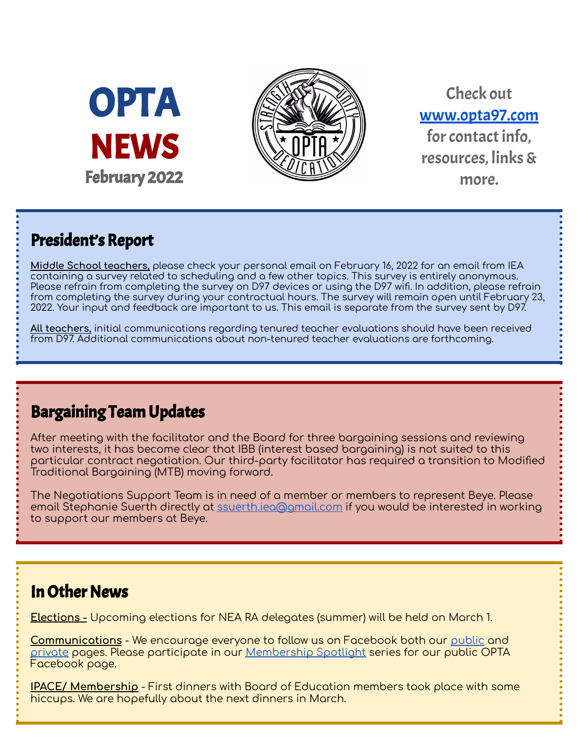



Check out [www.opta97.com](http://www.opta97.com) for contact info. resources, links& more.

## President's Report

**Middle School teachers,** please check your personal email on February 16, 2022 for an email from IEA containing a survey related to scheduling and a few other topics. This survey is entirely anonymous. Please refrain from completing the survey on D97 devices or using the D97 wifi. In addition, please refrain from completing the survey during your contractual hours. The survey will remain open until February 23, 2022. Your input and feedback are important to us. This email is separate from the survey sent by D97.

**All teachers,** initial communications regarding tenured teacher evaluations should have been received from D97. Additional communications about non-tenured teacher evaluations are forthcoming.

## Bargaining Team Updates

After meeting with the facilitator and the Board for three bargaining sessions and reviewing two interests, it has become clear that IBB (interest based bargaining) is not suited to this particular contract negotiation. Our third-party facilitator has required a transition to Modified Traditional Bargaining (MTB) moving forward.

The Negotiations Support Team is in need of a member or members to represent Beye. Please email Stephanie Suerth directly at [ssuerth.iea@gmail.com](mailto:ssuerth.iea@gmail.com) if you would be interested in working to support our members at Beye.

## **In Other News**

**Elections -** Upcoming elections for NEA RA delegates (summer) will be held on March 1.

**Communications** - We encourage everyone to follow us on Facebook both our [public](http://www.facebook.com/opta97) and [private](http://www.facebook.com/groups/opta97) pages. Please participate in our [Membership](https://forms.gle/PXZnxYkTKphX5mGi7) Spotlight series for our public OPTA Facebook page.

**IPACE/ Membership** - First dinners with Board of Education members took place with some hiccups. We are hopefully about the next dinners in March.